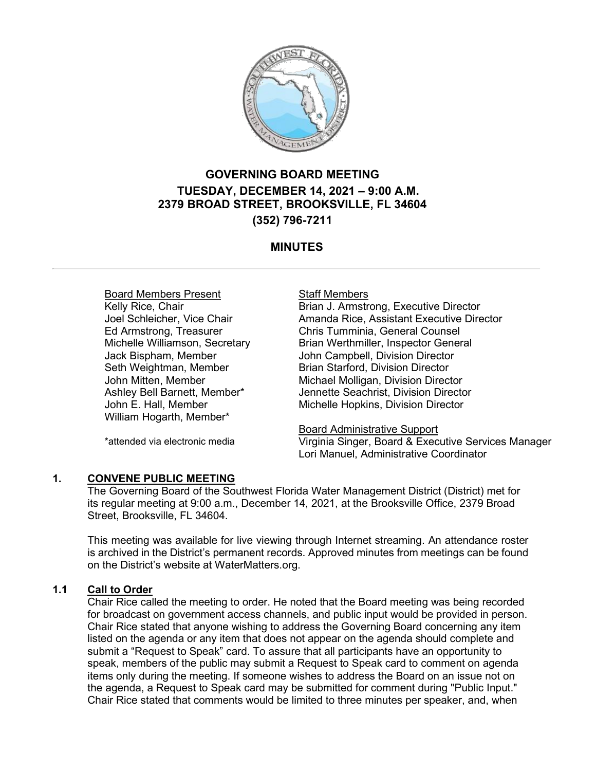

# **GOVERNING BOARD MEETING TUESDAY, DECEMBER 14, 2021 – 9:00 A.M. 2379 BROAD STREET, BROOKSVILLE, FL 34604 (352) 796-7211**

# **MINUTES**

Board Members Present Kelly Rice, Chair Joel Schleicher, Vice Chair Ed Armstrong, Treasurer Michelle Williamson, Secretary Jack Bispham, Member Seth Weightman, Member John Mitten, Member Ashley Bell Barnett, Member\* John E. Hall, Member William Hogarth, Member\*

\*attended via electronic media

#### Staff Members

Brian J. Armstrong, Executive Director Amanda Rice, Assistant Executive Director Chris Tumminia, General Counsel Brian Werthmiller, Inspector General John Campbell, Division Director Brian Starford, Division Director Michael Molligan, Division Director Jennette Seachrist, Division Director Michelle Hopkins, Division Director

Board Administrative Support Virginia Singer, Board & Executive Services Manager Lori Manuel, Administrative Coordinator

**1. CONVENE PUBLIC MEETING** The Governing Board of the Southwest Florida Water Management District (District) met for its regular meeting at 9:00 a.m., December 14, 2021, at the Brooksville Office, 2379 Broad Street, Brooksville, FL 34604.

This meeting was available for live viewing through Internet streaming. An attendance roster is archived in the District's permanent records. Approved minutes from meetings can be found on the District's website at WaterMatters.org.

#### **1.1 Call to Order**

Chair Rice called the meeting to order. He noted that the Board meeting was being recorded for broadcast on government access channels, and public input would be provided in person. Chair Rice stated that anyone wishing to address the Governing Board concerning any item listed on the agenda or any item that does not appear on the agenda should complete and submit a "Request to Speak" card. To assure that all participants have an opportunity to speak, members of the public may submit a Request to Speak card to comment on agenda items only during the meeting. If someone wishes to address the Board on an issue not on the agenda, a Request to Speak card may be submitted for comment during "Public Input." Chair Rice stated that comments would be limited to three minutes per speaker, and, when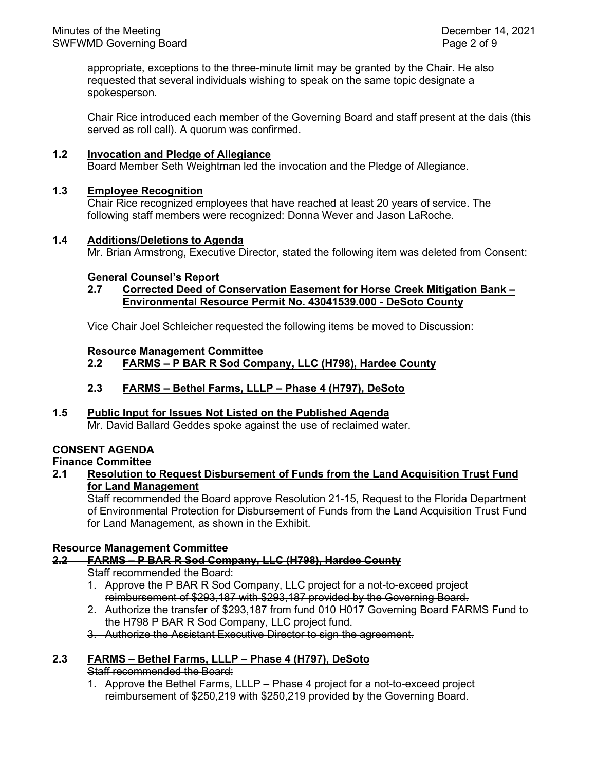appropriate, exceptions to the three-minute limit may be granted by the Chair. He also requested that several individuals wishing to speak on the same topic designate a spokesperson.

Chair Rice introduced each member of the Governing Board and staff present at the dais (this served as roll call). A quorum was confirmed.

#### **1.2 Invocation and Pledge of Allegiance**

Board Member Seth Weightman led the invocation and the Pledge of Allegiance.

#### **1.3 Employee Recognition**

Chair Rice recognized employees that have reached at least 20 years of service. The following staff members were recognized: Donna Wever and Jason LaRoche.

#### **1.4 Additions/Deletions to Agenda**

Mr. Brian Armstrong, Executive Director, stated the following item was deleted from Consent:

#### **General Counsel's Report**

#### **2.7 Corrected Deed of Conservation Easement for Horse Creek Mitigation Bank – Environmental Resource Permit No. 43041539.000 - DeSoto County**

Vice Chair Joel Schleicher requested the following items be moved to Discussion:

#### **Resource Management Committee**

#### **2.2 FARMS – P BAR R Sod Company, LLC (H798), Hardee County**

# **2.3 FARMS – Bethel Farms, LLLP – Phase 4 (H797), DeSoto**

#### **1.5 Public Input for Issues Not Listed on the Published Agenda** Mr. David Ballard Geddes spoke against the use of reclaimed water.

# **CONSENT AGENDA**

# **Finance Committee**

#### **2.1 Resolution to Request Disbursement of Funds from the Land Acquisition Trust Fund for Land Management**

Staff recommended the Board approve Resolution 21-15, Request to the Florida Department of Environmental Protection for Disbursement of Funds from the Land Acquisition Trust Fund for Land Management, as shown in the Exhibit.

#### **Resource Management Committee**

#### **2.2 FARMS – P BAR R Sod Company, LLC (H798), Hardee County**

Staff recommended the Board:

- 1. Approve the P BAR R Sod Company, LLC project for a not-to-exceed project reimbursement of \$293,187 with \$293,187 provided by the Governing Board.
- 2. Authorize the transfer of \$293,187 from fund 010 H017 Governing Board FARMS Fund to the H798 P BAR R Sod Company, LLC project fund.
- 3. Authorize the Assistant Executive Director to sign the agreement.

#### **2.3 FARMS – Bethel Farms, LLLP – Phase 4 (H797), DeSoto**

Staff recommended the Board:

1. Approve the Bethel Farms, LLLP – Phase 4 project for a not-to-exceed project reimbursement of \$250,219 with \$250,219 provided by the Governing Board.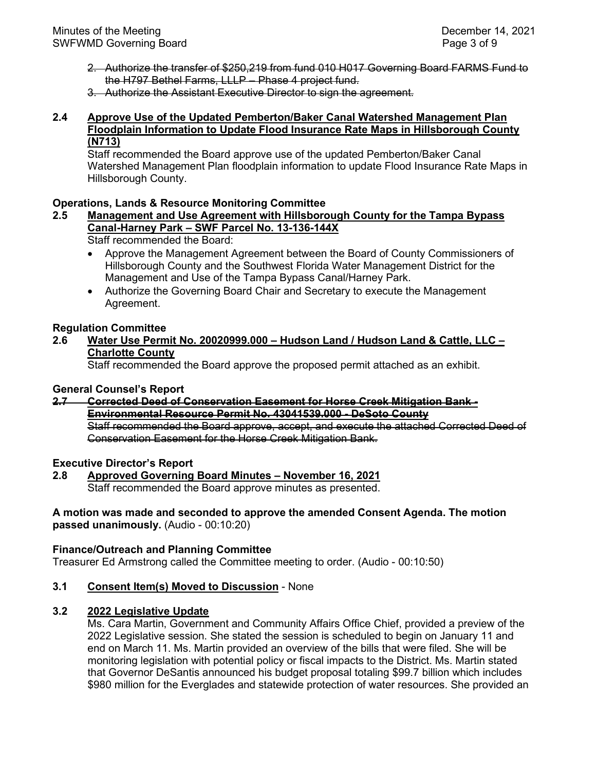- 2. Authorize the transfer of \$250,219 from fund 010 H017 Governing Board FARMS Fund to the H797 Bethel Farms, LLLP – Phase 4 project fund.
- 3. Authorize the Assistant Executive Director to sign the agreement.

#### **2.4 Approve Use of the Updated Pemberton/Baker Canal Watershed Management Plan Floodplain Information to Update Flood Insurance Rate Maps in Hillsborough County (N713)**

Staff recommended the Board approve use of the updated Pemberton/Baker Canal Watershed Management Plan floodplain information to update Flood Insurance Rate Maps in Hillsborough County.

# **Operations, Lands & Resource Monitoring Committee**

# **2.5 Management and Use Agreement with Hillsborough County for the Tampa Bypass Canal-Harney Park – SWF Parcel No. 13-136-144X**

Staff recommended the Board:

- Approve the Management Agreement between the Board of County Commissioners of Hillsborough County and the Southwest Florida Water Management District for the Management and Use of the Tampa Bypass Canal/Harney Park.
- Authorize the Governing Board Chair and Secretary to execute the Management Agreement.

#### **Regulation Committee**

# **2.6 Water Use Permit No. 20020999.000 – Hudson Land / Hudson Land & Cattle, LLC – Charlotte County**

Staff recommended the Board approve the proposed permit attached as an exhibit.

#### **General Counsel's Report**

# **2.7 Corrected Deed of Conservation Easement for Horse Creek Mitigation Bank - Environmental Resource Permit No. 43041539.000 - DeSoto County**

Staff recommended the Board approve, accept, and execute the attached Corrected Deed of Conservation Easement for the Horse Creek Mitigation Bank.

**Executive Director's Report**

#### **2.8 Approved Governing Board Minutes – November 16, 2021** Staff recommended the Board approve minutes as presented.

#### **A motion was made and seconded to approve the amended Consent Agenda. The motion passed unanimously.** (Audio - 00:10:20)

#### **Finance/Outreach and Planning Committee**

Treasurer Ed Armstrong called the Committee meeting to order. (Audio - 00:10:50)

#### **3.1 Consent Item(s) Moved to Discussion** - None

### **3.2 2022 Legislative Update**

Ms. Cara Martin, Government and Community Affairs Office Chief, provided a preview of the 2022 Legislative session. She stated the session is scheduled to begin on January 11 and end on March 11. Ms. Martin provided an overview of the bills that were filed. She will be monitoring legislation with potential policy or fiscal impacts to the District. Ms. Martin stated that Governor DeSantis announced his budget proposal totaling \$99.7 billion which includes \$980 million for the Everglades and statewide protection of water resources. She provided an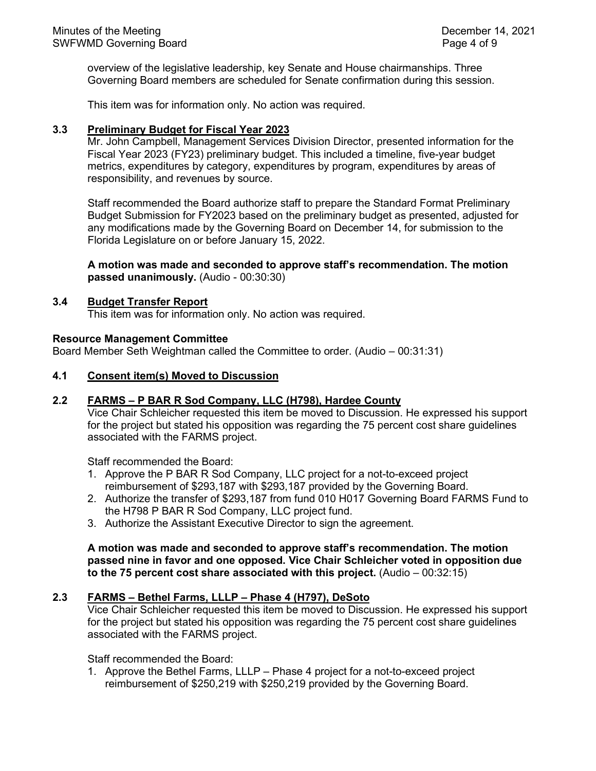overview of the legislative leadership, key Senate and House chairmanships. Three Governing Board members are scheduled for Senate confirmation during this session.

This item was for information only. No action was required.

#### **3.3 Preliminary Budget for Fiscal Year 2023**

Mr. John Campbell, Management Services Division Director, presented information for the Fiscal Year 2023 (FY23) preliminary budget. This included a timeline, five-year budget metrics, expenditures by category, expenditures by program, expenditures by areas of responsibility, and revenues by source.

Staff recommended the Board authorize staff to prepare the Standard Format Preliminary Budget Submission for FY2023 based on the preliminary budget as presented, adjusted for any modifications made by the Governing Board on December 14, for submission to the Florida Legislature on or before January 15, 2022.

#### **A motion was made and seconded to approve staff's recommendation. The motion passed unanimously.** (Audio - 00:30:30)

#### **3.4 Budget Transfer Report**

This item was for information only. No action was required.

#### **Resource Management Committee**

Board Member Seth Weightman called the Committee to order. (Audio – 00:31:31)

#### **4.1 Consent item(s) Moved to Discussion**

#### **2.2 FARMS – P BAR R Sod Company, LLC (H798), Hardee County**

Vice Chair Schleicher requested this item be moved to Discussion. He expressed his support for the project but stated his opposition was regarding the 75 percent cost share guidelines associated with the FARMS project.

Staff recommended the Board:

- 1. Approve the P BAR R Sod Company, LLC project for a not-to-exceed project reimbursement of \$293,187 with \$293,187 provided by the Governing Board.
- 2. Authorize the transfer of \$293,187 from fund 010 H017 Governing Board FARMS Fund to the H798 P BAR R Sod Company, LLC project fund.
- 3. Authorize the Assistant Executive Director to sign the agreement.

**A motion was made and seconded to approve staff's recommendation. The motion passed nine in favor and one opposed. Vice Chair Schleicher voted in opposition due to the 75 percent cost share associated with this project.** (Audio – 00:32:15)

#### **2.3 FARMS – Bethel Farms, LLLP – Phase 4 (H797), DeSoto**

Vice Chair Schleicher requested this item be moved to Discussion. He expressed his support for the project but stated his opposition was regarding the 75 percent cost share guidelines associated with the FARMS project.

Staff recommended the Board:

1. Approve the Bethel Farms, LLLP – Phase 4 project for a not-to-exceed project reimbursement of \$250,219 with \$250,219 provided by the Governing Board.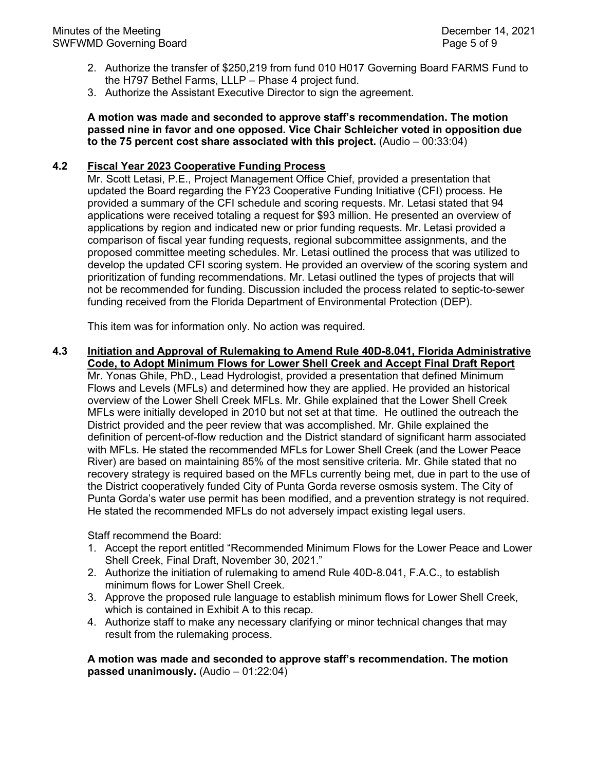- 2. Authorize the transfer of \$250,219 from fund 010 H017 Governing Board FARMS Fund to the H797 Bethel Farms, LLLP – Phase 4 project fund.
- 3. Authorize the Assistant Executive Director to sign the agreement.

**A motion was made and seconded to approve staff's recommendation. The motion passed nine in favor and one opposed. Vice Chair Schleicher voted in opposition due to the 75 percent cost share associated with this project.** (Audio – 00:33:04)

# **4.2 Fiscal Year 2023 Cooperative Funding Process**

Mr. Scott Letasi, P.E., Project Management Office Chief, provided a presentation that updated the Board regarding the FY23 Cooperative Funding Initiative (CFI) process. He provided a summary of the CFI schedule and scoring requests. Mr. Letasi stated that 94 applications were received totaling a request for \$93 million. He presented an overview of applications by region and indicated new or prior funding requests. Mr. Letasi provided a comparison of fiscal year funding requests, regional subcommittee assignments, and the proposed committee meeting schedules. Mr. Letasi outlined the process that was utilized to develop the updated CFI scoring system. He provided an overview of the scoring system and prioritization of funding recommendations. Mr. Letasi outlined the types of projects that will not be recommended for funding. Discussion included the process related to septic-to-sewer funding received from the Florida Department of Environmental Protection (DEP).

This item was for information only. No action was required.

**4.3 Initiation and Approval of Rulemaking to Amend Rule 40D-8.041, Florida Administrative Code, to Adopt Minimum Flows for Lower Shell Creek and Accept Final Draft Report** Mr. Yonas Ghile, PhD., Lead Hydrologist, provided a presentation that defined Minimum Flows and Levels (MFLs) and determined how they are applied. He provided an historical overview of the Lower Shell Creek MFLs. Mr. Ghile explained that the Lower Shell Creek MFLs were initially developed in 2010 but not set at that time. He outlined the outreach the District provided and the peer review that was accomplished. Mr. Ghile explained the definition of percent-of-flow reduction and the District standard of significant harm associated with MFLs. He stated the recommended MFLs for Lower Shell Creek (and the Lower Peace River) are based on maintaining 85% of the most sensitive criteria. Mr. Ghile stated that no recovery strategy is required based on the MFLs currently being met, due in part to the use of the District cooperatively funded City of Punta Gorda reverse osmosis system. The City of Punta Gorda's water use permit has been modified, and a prevention strategy is not required. He stated the recommended MFLs do not adversely impact existing legal users.

Staff recommend the Board:

- 1. Accept the report entitled "Recommended Minimum Flows for the Lower Peace and Lower Shell Creek, Final Draft, November 30, 2021."
- 2. Authorize the initiation of rulemaking to amend Rule 40D-8.041, F.A.C., to establish minimum flows for Lower Shell Creek.
- 3. Approve the proposed rule language to establish minimum flows for Lower Shell Creek, which is contained in Exhibit A to this recap.
- 4. Authorize staff to make any necessary clarifying or minor technical changes that may result from the rulemaking process.

**A motion was made and seconded to approve staff's recommendation. The motion passed unanimously.** (Audio – 01:22:04)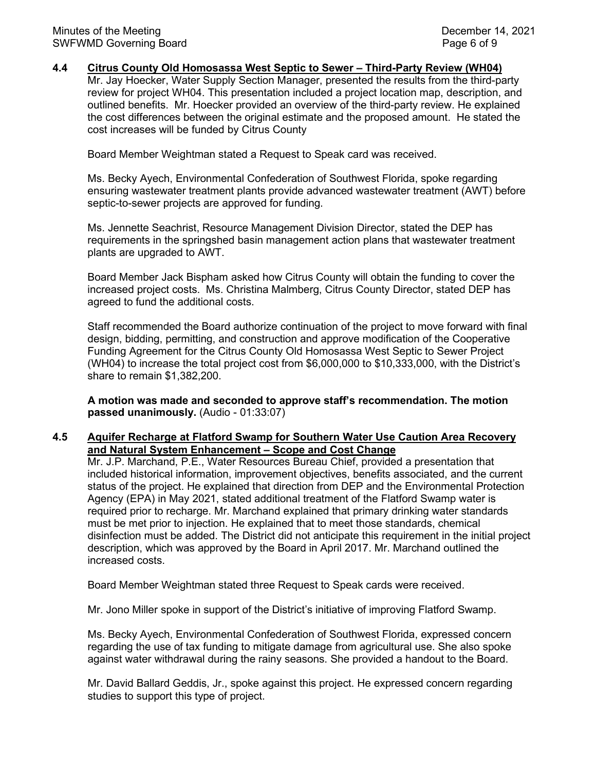#### **4.4 Citrus County Old Homosassa West Septic to Sewer – Third-Party Review (WH04)**

Mr. Jay Hoecker, Water Supply Section Manager, presented the results from the third-party review for project WH04. This presentation included a project location map, description, and outlined benefits. Mr. Hoecker provided an overview of the third-party review. He explained the cost differences between the original estimate and the proposed amount. He stated the cost increases will be funded by Citrus County

Board Member Weightman stated a Request to Speak card was received.

Ms. Becky Ayech, Environmental Confederation of Southwest Florida, spoke regarding ensuring wastewater treatment plants provide advanced wastewater treatment (AWT) before septic-to-sewer projects are approved for funding.

Ms. Jennette Seachrist, Resource Management Division Director, stated the DEP has requirements in the springshed basin management action plans that wastewater treatment plants are upgraded to AWT.

Board Member Jack Bispham asked how Citrus County will obtain the funding to cover the increased project costs. Ms. Christina Malmberg, Citrus County Director, stated DEP has agreed to fund the additional costs.

Staff recommended the Board authorize continuation of the project to move forward with final design, bidding, permitting, and construction and approve modification of the Cooperative Funding Agreement for the Citrus County Old Homosassa West Septic to Sewer Project (WH04) to increase the total project cost from \$6,000,000 to \$10,333,000, with the District's share to remain \$1,382,200.

**A motion was made and seconded to approve staff's recommendation. The motion passed unanimously.** (Audio - 01:33:07)

#### **4.5 Aquifer Recharge at Flatford Swamp for Southern Water Use Caution Area Recovery and Natural System Enhancement – Scope and Cost Change**

Mr. J.P. Marchand, P.E., Water Resources Bureau Chief, provided a presentation that included historical information, improvement objectives, benefits associated, and the current status of the project. He explained that direction from DEP and the Environmental Protection Agency (EPA) in May 2021, stated additional treatment of the Flatford Swamp water is required prior to recharge. Mr. Marchand explained that primary drinking water standards must be met prior to injection. He explained that to meet those standards, chemical disinfection must be added. The District did not anticipate this requirement in the initial project description, which was approved by the Board in April 2017. Mr. Marchand outlined the increased costs.

Board Member Weightman stated three Request to Speak cards were received.

Mr. Jono Miller spoke in support of the District's initiative of improving Flatford Swamp.

Ms. Becky Ayech, Environmental Confederation of Southwest Florida, expressed concern regarding the use of tax funding to mitigate damage from agricultural use. She also spoke against water withdrawal during the rainy seasons. She provided a handout to the Board.

Mr. David Ballard Geddis, Jr., spoke against this project. He expressed concern regarding studies to support this type of project.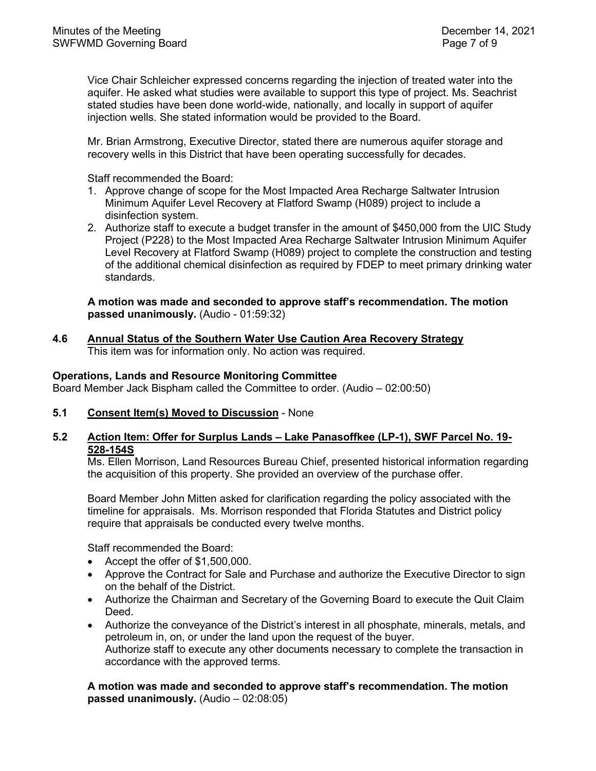Vice Chair Schleicher expressed concerns regarding the injection of treated water into the aquifer. He asked what studies were available to support this type of project. Ms. Seachrist stated studies have been done world-wide, nationally, and locally in support of aquifer injection wells. She stated information would be provided to the Board.

Mr. Brian Armstrong, Executive Director, stated there are numerous aquifer storage and recovery wells in this District that have been operating successfully for decades.

Staff recommended the Board:

- 1. Approve change of scope for the Most Impacted Area Recharge Saltwater Intrusion Minimum Aquifer Level Recovery at Flatford Swamp (H089) project to include a disinfection system.
- 2. Authorize staff to execute a budget transfer in the amount of \$450,000 from the UIC Study Project (P228) to the Most Impacted Area Recharge Saltwater Intrusion Minimum Aquifer Level Recovery at Flatford Swamp (H089) project to complete the construction and testing of the additional chemical disinfection as required by FDEP to meet primary drinking water standards.

**A motion was made and seconded to approve staff's recommendation. The motion passed unanimously.** (Audio - 01:59:32)

**4.6 Annual Status of the Southern Water Use Caution Area Recovery Strategy** This item was for information only. No action was required.

#### **Operations, Lands and Resource Monitoring Committee**

Board Member Jack Bispham called the Committee to order. (Audio – 02:00:50)

**5.1 Consent Item(s) Moved to Discussion** - None

# **5.2 Action Item: Offer for Surplus Lands – Lake Panasoffkee (LP-1), SWF Parcel No. 19- 528-154S**

Ms. Ellen Morrison, Land Resources Bureau Chief, presented historical information regarding the acquisition of this property. She provided an overview of the purchase offer.

Board Member John Mitten asked for clarification regarding the policy associated with the timeline for appraisals. Ms. Morrison responded that Florida Statutes and District policy require that appraisals be conducted every twelve months.

Staff recommended the Board:

- Accept the offer of \$1,500,000.
- Approve the Contract for Sale and Purchase and authorize the Executive Director to sign on the behalf of the District.
- Authorize the Chairman and Secretary of the Governing Board to execute the Quit Claim Deed.
- Authorize the conveyance of the District's interest in all phosphate, minerals, metals, and petroleum in, on, or under the land upon the request of the buyer. Authorize staff to execute any other documents necessary to complete the transaction in accordance with the approved terms.

**A motion was made and seconded to approve staff's recommendation. The motion passed unanimously.** (Audio – 02:08:05)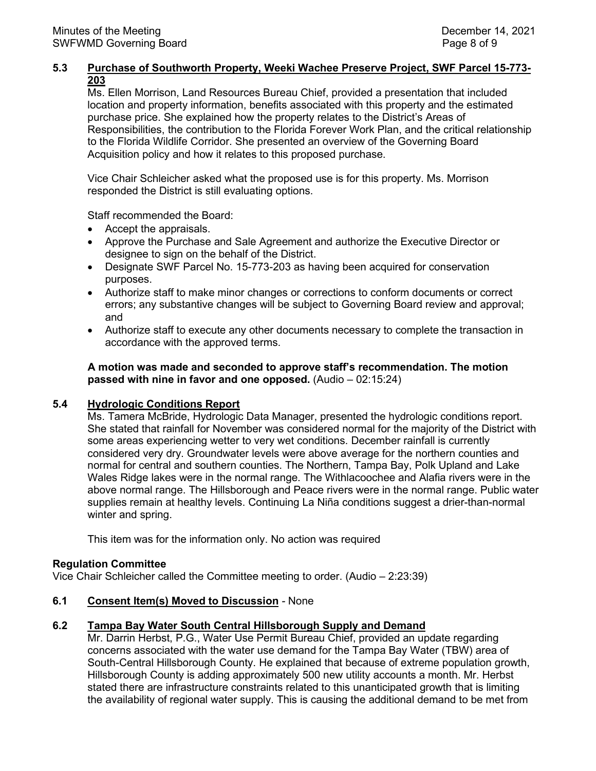# **5.3 Purchase of Southworth Property, Weeki Wachee Preserve Project, SWF Parcel 15-773- 203**

Ms. Ellen Morrison, Land Resources Bureau Chief, provided a presentation that included location and property information, benefits associated with this property and the estimated purchase price. She explained how the property relates to the District's Areas of Responsibilities, the contribution to the Florida Forever Work Plan, and the critical relationship to the Florida Wildlife Corridor. She presented an overview of the Governing Board Acquisition policy and how it relates to this proposed purchase.

Vice Chair Schleicher asked what the proposed use is for this property. Ms. Morrison responded the District is still evaluating options.

Staff recommended the Board:

- Accept the appraisals.
- Approve the Purchase and Sale Agreement and authorize the Executive Director or designee to sign on the behalf of the District.
- Designate SWF Parcel No. 15-773-203 as having been acquired for conservation purposes.
- Authorize staff to make minor changes or corrections to conform documents or correct errors; any substantive changes will be subject to Governing Board review and approval; and
- Authorize staff to execute any other documents necessary to complete the transaction in accordance with the approved terms.

**A motion was made and seconded to approve staff's recommendation. The motion passed with nine in favor and one opposed.** (Audio – 02:15:24)

#### **5.4 Hydrologic Conditions Report**

Ms. Tamera McBride, Hydrologic Data Manager, presented the hydrologic conditions report. She stated that rainfall for November was considered normal for the majority of the District with some areas experiencing wetter to very wet conditions. December rainfall is currently considered very dry. Groundwater levels were above average for the northern counties and normal for central and southern counties. The Northern, Tampa Bay, Polk Upland and Lake Wales Ridge lakes were in the normal range. The Withlacoochee and Alafia rivers were in the above normal range. The Hillsborough and Peace rivers were in the normal range. Public water supplies remain at healthy levels. Continuing La Niña conditions suggest a drier-than-normal winter and spring.

This item was for the information only. No action was required

#### **Regulation Committee**

Vice Chair Schleicher called the Committee meeting to order. (Audio – 2:23:39)

**6.1 Consent Item(s) Moved to Discussion** *-* None

#### **6.2 Tampa Bay Water South Central Hillsborough Supply and Demand**

Mr. Darrin Herbst, P.G., Water Use Permit Bureau Chief, provided an update regarding concerns associated with the water use demand for the Tampa Bay Water (TBW) area of South-Central Hillsborough County. He explained that because of extreme population growth, Hillsborough County is adding approximately 500 new utility accounts a month. Mr. Herbst stated there are infrastructure constraints related to this unanticipated growth that is limiting the availability of regional water supply. This is causing the additional demand to be met from